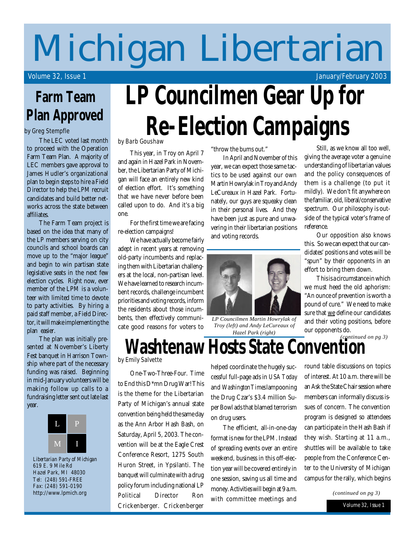# **Michigan Libertarian**

Volume 32, Issue 1 January/February 2003

### **Farm Team Plan Approved**

#### by Greg Stempfle

The LEC voted last month to proceed with the Operation Farm Team Plan. A majority of LEC members gave approval to James Hudler's organizational plan to begin steps to hire a Field Director to help the LPM recruit candidates and build better networks across the state between affiliates.

The Farm Team project is based on the idea that many of the LP members serving on city councils and school boards can move up to the "major league" and begin to win partisan state legislative seats in the next few election cycles. Right now, ever member of the LPM is a volunteer with limited time to devote to party activities. By hiring a paid staff member, a Field Director, it will make implementing the plan easier.

The plan was initially presented at November's Liberty Fest banquet in Harrison Township where part of the necessary funding was raised. Beginning in mid-January volunteers will be making follow up calls to a fundraising letter sent out late last year.



*Libertarian Party of Michigan 619 E. 9 Mile Rd Hazel Park, MI 48030 Tel: (248) 591-FREE Fax: (248) 591-0190* **http://www.lpmich.org**

# **LP Councilmen Gear Up for Re-Election Campaigns**

by Barb Goushaw

This year, in Troy on April 7 and again in Hazel Park in November, the Libertarian Party of Michigan will face an entirely new kind of election effort. It's something that we have never before been called upon to do. And it's a big one.

For the first time we are facing re-election campaigns!

We have actually become fairly adept in recent years at removing old-party incumbents and replacing them with Libertarian challengers at the local, non-partisan level. We have learned to research incumbent records, challenge incumbent priorities and voting records, inform the residents about those incumbents, then effectively communicate good reasons for voters to "throw the bums out."

In April and November of this year, we can expect those same tactics to be used against our own Martin Howrylak in Troy and Andy LeCureaux in Hazel Park. Fortunately, our guys are squeaky clean in their personal lives. And they have been just as pure and unwavering in their libertarian positions and voting records.



*LP Councilmen Martin Howrylak of Troy (left) and Andy LeCureaux of Hazel Park (right)*

Still, as we know all too well, giving the average voter a genuine understanding of libertarian values and the policy consequences of them is a challenge (to put it mildly). We don't fit anywhere on the familiar, old, liberal/conservative spectrum. Our philosophy is outside of the typical voter's frame of reference.

Our opposition also knows this. So we can expect that our candidates' positions and votes will be "spun" by their opponents in an effort to bring them down.

This is a circumstance in which we must heed the old aphorism: "An ounce of prevention is worth a pound of cure." We need to make sure that we define our candidates and their voting positions, before our opponents do.

*(continued on pg 3)*

### **Washtenaw Hosts State Convention** by Emily Salvette

One-Two-Three-Four. Time to End this D\*mn Drug War! This is the theme for the Libertarian Party of Michigan's annual state convention being held the same day as the Ann Arbor Hash Bash, on Saturday, April 5, 2003. The convention will be at the Eagle Crest Conference Resort, 1275 South Huron Street, in Ypsilanti. The banquet will culminate with a drug policy forum including national LP Political Director Ron Crickenberger. Crickenberger

helped coordinate the hugely successful full-page ads in *USA Today* and *Washington Times* lampooning the Drug Czar's \$3.4 million Super Bowl ads that blamed terrorism on drug users.

The efficient, all-in-one-day format is new for the LPM. Instead of spreading events over an entire weekend, business in this off-election year will be covered entirely in one session, saving us all time and money. Activities will begin at 9 a.m. with committee meetings and round table discussions on topics of interest. At 10 a.m. there will be an Ask the State Chair session where members can informally discuss issues of concern. The convention program is designed so attendees can participate in the Hash Bash if they wish. Starting at 11 a.m., shuttles will be available to take people from the Conference Center to the University of Michigan campus for the rally, which begins

*(continued on pg 3)*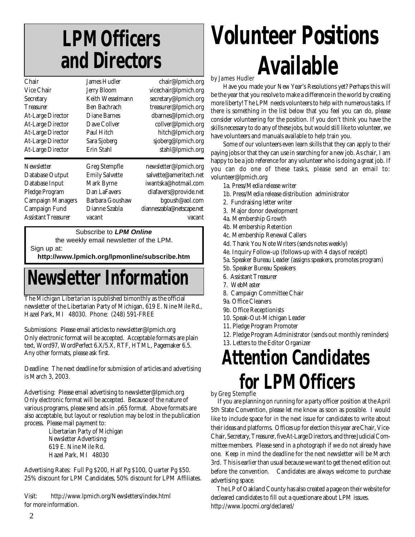## **LPM Officers and Directors**

| Chair                      | James Hudler          | chair@lpmich.org          |
|----------------------------|-----------------------|---------------------------|
| Vice Chair                 | <b>Jerry Bloom</b>    | vicechair@lpmich.org      |
| Secretary                  | Keith Wesselmann      | secretary@lpmich.org      |
| <b>Treasurer</b>           | Ben Bachrach          | treasurer@lpmich.org      |
| <b>At-Large Director</b>   | <b>Diane Barnes</b>   | dbarnes@lpmich.org        |
| <b>At-Large Director</b>   | Dave Collver          | collver@lpmich.org        |
| <b>At-Large Director</b>   | Paul Hitch            | hitch@lpmich.org          |
| <b>At-Large Director</b>   | Sara Sjoberg          | sjoberg@lpmich.org        |
| <b>At-Large Director</b>   | Erin Stahl            | stahl@lpmich.org          |
| <b>Newsletter</b>          | Greg Stempfle         | newsletter@lpmich.org     |
| Database Output            | <b>Emily Salvette</b> | salvette@ameritech.net    |
| Database Input             | Mark Byrne            | iwantska@hotmail.com      |
| Pledge Program             | Dan LaFavers          | dlafavers@provide.net     |
| <b>Campaign Managers</b>   | Barbara Goushaw       | bgoush@aol.com            |
| Campaign Fund              | Dianne Szabla         | dianneszabla@netscape.net |
| <b>Assistant Treasurer</b> | vacant                | vacant                    |
|                            |                       |                           |

Subscribe to *LPM Online*

the weekly email newsletter of the LPM.

Sign up at:

**http://www.lpmich.org/lpmonline/subscribe.htm**

## **Newsletter Informat**

The *Michigan Libertarian* is published bimonthly as the official newsletter of the Libertarian Party of Michigan, 619 E. Nine Mile Rd., Hazel Park, MI 48030. Phone: (248) 591-FREE

#### **Submissions:** Please email articles to **newsletter@lpmich.org**

Only electronic format will be accepted. Acceptable formats are plain text, Word97, WordPerfect 6.X/5.X, RTF, HTML, Pagemaker 6.5. Any other formats, please ask first.

**Deadline:** The next deadline for submission of articles and advertising is March 3, 2003.

**Advertising:** Please email advertising to **newsletter@lpmich.org** Only electronic format will be accepted. Because of the nature of various programs, please send ads in .p65 format. Above formats are also acceptable, but layout or resolution may be lost in the publication process. Please mail payment to:

> Libertarian Party of Michigan Newsletter Advertising 619 E. Nine Mile Rd. Hazel Park, MI 48030

**Advertising Rates:** Full Pg \$200, Half Pg \$100, Quarter Pg \$50. 25% discount for LPM Candidates, 50% discount for LPM Affiliates.

**Visit:** http://www.lpmich.org/Newsletters/index.html for more information.

## **Volunteer Positions Available** by James Hudler

Have you made your New Year's Resolutions yet? Perhaps this will be the year that you resolve to make a difference in the world by creating more liberty! The LPM needs volunteers to help with numerous tasks. If there is something in the list below that you feel you can do, please consider volunteering for the position. If you don't think you have the skills necessary to do any of these jobs, but would still like to volunteer, we have volunteers and manuals available to help train you.

Some of our volunteers even learn skills that they can apply to their paying jobs or that they can use in searching for a new job. As chair, I am happy to be a job reference for any volunteer who is doing a great job. If you can do one of these tasks, please send an email to: volunteer@lpmich.org

- 1a. Press/Media release writer
- 1b. Press/Media release distribution administrator
- 2. Fundraising letter writer
- 3. Major donor development
- 4a. Membership Growth
- 4b. Membership Retention
- 4c. Membership Renewal Callers
- 4d. Thank You Note Writers (sends notes weekly)
- 4e. Inquiry Follow-up (follows-up with 4 days of receipt)
- 5a. Speaker Bureau Leader (assigns speakers, promotes program)
- 5b. Speaker Bureau Speakers
- 6. Assistant Treasurer
- 7. WebMaster
- 8. Campaign Committee Chair
- 9a. Office Cleaners
- 9b. Office Receptionists
- 10. Speak-Out-Michigan Leader
- 11. Pledge Program Promoter
- 12. Pledge Program Administrator (sends out monthly reminders)
- 13. Letters to the Editor Organizer

## **Attention Candidates for LPM Officers**

#### by Greg Stempfle

 If you are planning on running for a party officer position at the April 5th State Convention, please let me know as soon as possible. I would like to include space for in the next issue for candidates to write about their ideas and platforms. Offices up for election this year are Chair, Vice-Chair, Secretary, Treasurer, five At-Large Directors, and three Judicial Committee members. Please send in a photograph if we do not already have one. Keep in mind the deadline for the next newsletter will be March 3rd. This is earlier than usual because we want to get the next edition out before the convention. Candidates are always welcome to purchase advertising space.

 The LP of Oakland County has also created a page on their website for decleared candidates to fill out a questionare about LPM issues. http://www.lpocmi.org/declared/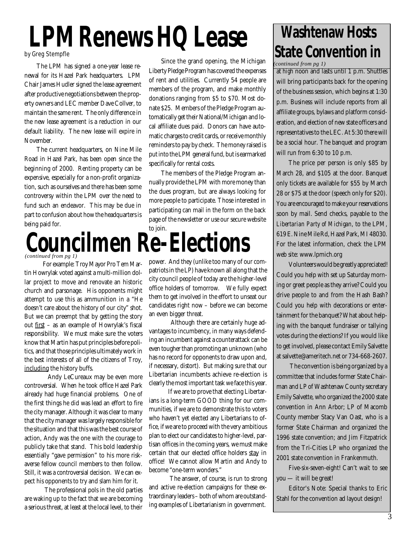# **LPM Renews HQ Lease**

#### by Greg Stempfle

The LPM has signed a one-year lease renewal for its Hazel Park headquarters. LPM Chair James Hudler signed the lease agreement after productive negotiations between the property owners and LEC member Dave Collver, to maintain the same rent. The only difference in the new lease agreement is a reduction in our default liability. The new lease will expire in November.

The current headquarters, on Nine Mile Road in Hazel Park, has been open since the beginning of 2000. Renting property can be expensive, especially for a non-profit organization, such as ourselves and there has been some controversy within the LPM over the need to fund such an endeavor. This may be due in part to confusion about how the headquarters is being paid for.

Since the grand opening, the Michigan Liberty Pledge Program has covered the expenses of rent and utilities. Currently 54 people are members of the program, and make monthly donations ranging from \$5 to \$70. Most donate \$25. Members of the Pledge Program automatically get their National/Michigan and local affiliate dues paid. Donors can have automatic charges to credit cards, or receive monthly reminders to pay by check. The money raised is put into the LPM general fund, but is earmarked specifically for rental costs.

The members of the Pledge Program annually provide the LPM with more money than the dues program, but are always looking for more people to participate. Those interested in participating can mail in the form on the back page of the newsletter or use our secure website to join.



 For example: Troy Mayor Pro Tem Martin Howrylak voted against a multi-million dollar project to move and renovate an historic church and parsonage. His opponents might attempt to use this as ammunition in a "He doesn't care about the history of our city" shot. But we can preempt that by getting the story out first – as an example of Howrylak's fiscal responsibility. We must make sure the voters know that Martin has put principles before politics, and that those principles ultimately work in the best interests of all of the citizens of Troy, including the history buffs.

 Andy LeCureaux may be even more controversial. When he took office Hazel Park already had huge financial problems. One of the first things he did was lead an effort to fire the city manager. Although it was clear to many that the city manager was largely responsible for the situation and that this was the best course of action, Andy was the one with the courage to publicly take that stand. This bold leadership essentially "gave permission" to his more riskaverse fellow council members to then follow. Still, it was a controversial decision. We can expect his opponents to try and slam him for it.

 The professional pols in the old parties are waking up to the fact that we are becoming a serious threat, at least at the local level, to their

power. And they (unlike too many of our compatriots in the LP) have known all along that the city council people of today are the higher-level office holders of tomorrow. We fully expect them to get involved in the effort to unseat our candidates right now – before we can become an even bigger threat.

 Although there are certainly huge advantages to incumbency, in many ways defending an incumbent against a counterattack can be even tougher than promoting an unknown (who has no record for opponents to draw upon and, if necessary, distort). But making sure that our Libertarian incumbents achieve re-election is clearly the most important task we face this year.

 If we are to prove that electing Libertarians is a long-term GOOD thing for our communities, if we are to demonstrate this to voters who haven't yet elected any Libertarians to office, if we are to proceed with the very ambitious plan to elect our candidates to higher-level, partisan offices in the coming years, **we must make certain that our elected office holders stay in office!** We cannot allow Martin and Andy to become "one-term wonders."

 The answer, of course, is run to strong and active re-election campaigns for these extraordinary leaders – both of whom are outstanding examples of Libertarianism in government.

### **Washtenaw Hosts State Convention in** *(continued from pg 1)*

at *high* noon and lasts until 1 p.m. Shuttles will bring participants back for the opening of the business session, which begins at 1:30 p.m. Business will include reports from all affiliate groups, bylaws and platform consideration, and election of new state officers and representatives to the LEC. At 5:30 there will be a social hour. The banquet and program will run from 6:30 to 10 p.m.

The price per person is only \$85 by March 28, and \$105 at the door. Banquet only tickets are available for \$55 by March 28 or \$75 at the door (speech only for \$20). You are encouraged to make your reservations soon by mail. Send checks, payable to the *Libertarian Party of Michigan*, to the LPM, 619 E. Nine Mile Rd, Hazel Park, MI 48030. For the latest information, check the LPM web site: www.lpmich.org

Volunteers would be greatly appreciated! Could you help with set up Saturday morning or greet people as they arrive? Could you drive people to and from the Hash Bash? Could you help with decorations or entertainment for the banquet? What about helping with the banquet fundraiser or tallying votes during the elections? If you would like to get involved, please contact Emily Salvette at salvette@ameritech.net or 734-668-2607.

 The convention is being organized by a committee that includes former State Chairman and LP of Washtenaw County secretary Emily Salvette, who organized the 2000 state convention in Ann Arbor; LP of Macomb County member Stacy Van Oast, who is a former State Chairman and organized the 1996 state convention; and Jim Fitzpatrick from the Tri-Cities LP who organized the 2001 state convention in Frankenmuth.

Five-six-seven-eight! Can't wait to see you — it will be great!

Editor's Note: Special thanks to Eric Stahl for the convention ad layout design!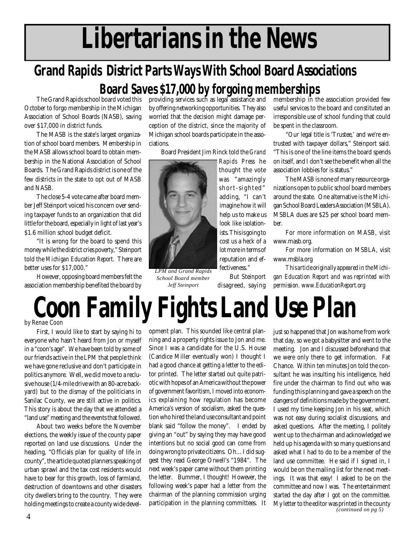# **Libertarians in the News**

### **Grand Rapids District Parts Ways With School Board Associations Board Saves \$17,000 by forgoing memberships**

The Grand Rapids school board voted this October to forgo membership in the Michigan Association of School Boards (NASB), saving over \$17,000 in district funds.

The MASB is the state's largest organization of school board members. Membership in the MASB allows school board to obtain membership in the National Association of School Boards. The Grand Rapids district is one of the few districts in the state to opt out of MASB and NASB.

The close 5-4 vote came after board member Jeff Steinport voiced his concern over sending taxpayer funds to an organization that did little for the board, especially in light of last year's \$1.6 million school budget deficit.

"It is wrong for the board to spend this money while the district cries poverty," Steinport told the *Michigan Education Report*. There are better uses for \$17,000."

However, opposing board members felt the association membership benefited the board by providing services such as legal assistance and by offering networking opportunities. They also worried that the decision might damage perception of the district, since the majority of Michigan school boards participate in the associations.

Board President Jim Rinck told the *Grand*



*LPM and Grand Rapids School Board member Jeff Steinport*

*Rapids Press* he thought the vote was "amazingly short-sighted" adding, "I can't imagine how it will help us to make us look like isolationists. This is going to cost us a heck of a lot more in terms of reputation and effectiveness."

But Steinport disagreed, saying membership in the association provided few useful services to the board and constituted an irresponsible use of school funding that could be spent in the classroom.

"Our legal title is 'Trustee,' and we're entrusted with taxpayer dollars," Steinport said. "This is one of the line items the board spends on itself, and I don't see the benefit when all the association lobbies for is status."

The MASB is none of many resource organizations open to public school board members around the state. One alternative is the Michigan School Board Leaders Association (MSBLA). MSBLA dues are \$25 per school board member.

For more information on MASB, visit www.masb.org.

For more information on MSBLA, visit www.msbla.org

*This article originally appeared in the Michigan Education Report and was reprinted with permission. www.EducationReport.org*

### **Coon Family Fights Land Use Plan** by Renae Coon

First, I would like to start by saying hi to everyone who hasn't heard from Jon or myself in a "coon's age". We have been told by some of our friends active in the LPM that people think we have gone reclusive and don't participate in politics anymore. Well, we did move to a reclusive house (1/4-mile drive with an 80-acre backyard) but to the dismay of the politicians in Sanilac County, we are still active in politics. This story is about the day that we attended a "land use" meeting and the events that followed.

About two weeks before the November elections, the weekly issue of the county paper reported on land use discussions. Under the heading, "Officials plan for quality of life in county", the article quoted planners speaking of urban sprawl and the tax cost residents would have to bear for this growth, loss of farmland, destruction of downtowns and other disasters city dwellers bring to the country. They were holding meetings to create a county wide development plan. This sounded like central planning and a property rights issue to Jon and me. Since I was a candidate for the U.S. House (Candice Miller eventually won) I thought I had a good chance at getting a letter to the editor printed. The letter started out quite patriotic with hopes of an America without the power of government favoritism, I moved into economics explaining how regulation has become America's version of socialism, asked the question who hired the land use consultant and point blank said "follow the money". I ended by giving an "out" by saying they may have good intentions but no social good can come from doing wrong to private citizens. Oh…I did suggest they read George Orwell's "1984". The next week's paper came without them printing the letter. Bummer, I thought! However, the following week's paper had a letter from the chairman of the planning commission urging participation in the planning committees. It just so happened that Jon was home from work that day, so we got a babysitter and went to the meeting. Jon and I discussed beforehand that we were only there to get information. Fat Chance. Within ten minutes Jon told the consultant he was insulting his intelligence, held fire under the chairman to find out who was funding this planning and gave a speech on the dangers of definitions made by the government. I used my time keeping Jon in his seat, which was not easy during socialist discussions, and asked questions. After the meeting, I politely went up to the chairman and acknowledged we held up his agenda with so many questions and asked what I had to do to be a member of the land use committee. He said if I signed in, I would be on the mailing list for the next meetings. It was that easy! I asked to be on the committee and now I was. The entertainment started the day after I got on the committee. My letter to the editor was printed in the county *(continued on pg 5)*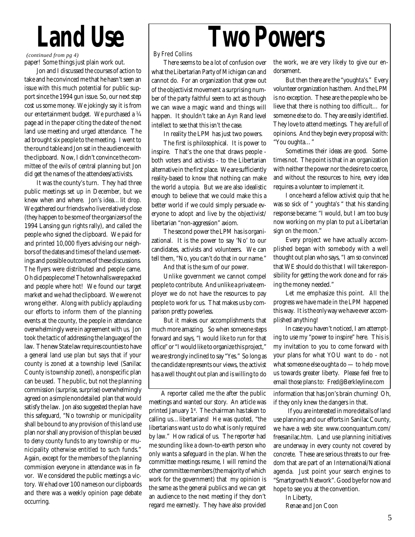# **Land Use**

paper! Some things just plain work out. *(continued from pg 4)*

Jon and I discussed the courses of action to take and he convinced me that he hasn't seen an issue with this much potential for public support since the 1994 gun issue. So, our next step cost us some money. We jokingly say it is from our entertainment budget. We purchased a ¼ page ad in the paper citing the date of the next land use meeting and urged attendance. The ad brought six people to the meeting. I went to the round table and Jon sat in the audience with the clipboard. Now, I didn't convince the committee of the evils of central planning but Jon did get the names of the attendees/activists.

It was the county's turn. They had three public meetings set up in December, but we knew when and where. Jon's idea…lit drop. We gathered our friends who live relatively close (they happen to be some of the organizers of the 1994 Lansing gun rights rally), and called the people who signed the clipboard. We paid for and printed 10,000 flyers advising our neighbors of the dates and times of the land use meetings and possible outcomes of these discussions. The flyers were distributed and people came. Oh did people come! The townhalls were packed and people where hot! We found our target market and we had the clipboard. We were not wrong either. Along with publicly applauding our efforts to inform them of the planning events at the county, the people in attendance overwhelmingly were in agreement with us. Jon took the tactic of addressing the language of the law. The new State law requires counties to have a general land use plan but says that if your county is zoned at a township level (Sanilac County is township zoned), a nonspecific plan can be used. The public, but not the planning commission (surprise, surprise) overwhelmingly agreed on a simple nondetailed plan that would satisfy the law. Jon also suggested the plan have this safeguard, "No township or municipality shall be bound to any provision of this land use plan nor shall any provision of this plan be used to deny county funds to any township or municipality otherwise entitled to such funds." Again, except for the members of the planning commission everyone in attendance was in favor. We considered the public meetings a victory. We had over 100 names on our clipboards and there was a weekly opinion page debate occurring.

# **Two Powers**

#### By Fred Collins

There seems to be a lot of confusion over what the Libertarian Party of Michigan can and cannot do. For an organization that grew out of the objectivist movement a surprising number of the party faithful seem to act as though we can wave a magic wand and things will happen. It shouldn't take an Ayn Rand level intellect to see that this isn't the case.

In reality the LPM has just two powers.

The first is philosophical. It is power to inspire. That's the one that draws people both voters and activists - to the Libertarian alternative in the first place. We are sufficiently reality-based to know that nothing can make the world a utopia. But we are also idealistic enough to believe that we could make this a better world if we could simply persuade everyone to adopt and live by the objectivist/ libertarian "non-aggression" axiom.

The second power the LPM has is organizational. It is the power to say 'No' to our candidates, activists and volunteers. We can tell them, "No, you can't do that in our name."

And that is the sum of our power.

Unlike government we cannot compel people to contribute. And unlike a private employer we do not have the resources to pay people to work for us. That makes us by comparison pretty powerless.

But it makes our accomplishments that much more amazing. So when someone steps forward and says, "I would like to run for that office" or "I would like to organize this project," we are strongly inclined to say "Yes." So long as the candidate represents our views, the activist has a well thought out plan and is willing to do

A reporter called me the after the public meetings and wanted our story. An article was printed January  $1<sup>st</sup>$ . The chairman has taken to calling us…libertarians! He was quoted, "the libertarians want us to do what is only required by law." How radical of us. The reporter had me sounding like a down-to-earth person who only wants a safeguard in the plan. When the committee meetings resume, I will remind the other committee members (the majority of which work for the government) that my opinion is the same as the general publics and we can get an audience to the next meeting if they don't regard me earnestly. They have also provided the work, we are very likely to give our endorsement.

But then there are the "youghta's." Every volunteer organization has them. And the LPM is no exception. These are the people who believe that there is nothing too difficult… for someone else to do. They are easily identified. They love to attend meetings. They are full of opinions. And they begin every proposal with: "You oughta…"

Sometimes their ideas are good. Sometimes not. The point is that in an organization with neither the power nor the desire to coerce, and without the resources to hire, *every* idea requires a volunteer to implement it.

I once heard a fellow activist quip that he was so sick of " youghta's " that his standing response became: "I would, but I am too busy now working on my plan to put a Libertarian sign on the moon."

Every project we have actually accomplished began with somebody with a well thought out plan who says, "I am so convinced that WE should do this that I will take responsibility for getting the work done and for raising the money needed."

Let me emphasize this point. *All* the progress we have made in the LPM happened this way. It is the *only* way we have ever accomplished anything!

In case you haven't noticed, I am attempting to use my "power to inspire" here. This is my invitation to you to come forward with your plans for what YOU want to do - not what someone else oughta do — to help move us towards greater liberty. Please feel free to email those plans to: Fred@Berkleyline.com

information that has Jon's brain churning! Oh, if they only knew the dangers in that.

 If you are interested in more details of land use planning and our efforts in Sanilac County, we have a web site: www.coonquantum.com/ freesanilac.htm. Land use planning initiatives are underway in every county not covered by concrete. These are serious threats to our freedom that are part of an International/National agenda. Just point your search engines to "Smartgrowth Network". Good bye for now and hope to see you at the convention.

In Liberty,

Renae and Jon Coon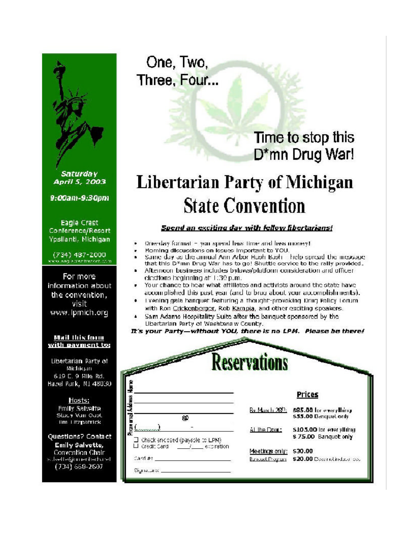

**Saturday** April 5, 2003

9:00am-9:30pm

Eagle Crest Conference/Resort Ypsilanti, Michigan

(734) 487-2000 www.eag.edecherort.com

For more information about the convention. visit www.lpmich.org

#### Mail this form with payment to:

Libertarian Party of Michigan 6.19 E. 9 Mile Rd. Hazel Park, MI 48030

> Hosts: **Fmily Salvette** Slacy Van Oabl lim Litzpatrick

Questions? Contact **Emily Salvette,** Convention Chair subette@mneritedn.net  $(734)$  668-2607

One, Two, Three, Four...

### Time to stop this D\*mn Drug War!

## **Libertarian Party of Michigan State Convention**

#### Spend an exciting day with fellow fibertarians!

- Orie-day format you spend less time and less money!
- Morning discussions on lesues important to YOU.
- Same day as the annual Ann Arbor Haph Baph help spread the message that this D\*mn Drug War has to go! Shuttle service to the rally provided.
- Afternoon business includes bylaws/platform consideration and officer elections beginning at 1:39 p.m.
- Your chance to hear what affiliates and activists around the state have accomplished this past year (and to brag about your accomplishments).
- Evening gala banquet featuring a thought-provoking Drug Policy Lorum. with Ron Crickenberger, Rob Kampia, and other exciting speakers.
- Sam Adams Hospitality Suite after the banquet sponsored by the Libertarian Party of Washtenaw County.
- It's your Party-without YOU, there is no LPM. Please be there!

|                                          | <u>leservations</u>   |                                                 |
|------------------------------------------|-----------------------|-------------------------------------------------|
|                                          |                       | Prices                                          |
| ßΦ                                       | By March 280:         | 585.00 for everything<br>\$33.00 Banquet only   |
| $\Box$ -check enclosed (payable to LPM). | ALThe Done:           | \$105.00 for everything<br>\$75.00 Banquet only |
| LI credit Card<br>and the effect ration  | Meetings only:        | \$30.00                                         |
| dard #!                                  | <b>Bunded Program</b> | \$20.00 Doctrichidae co.                        |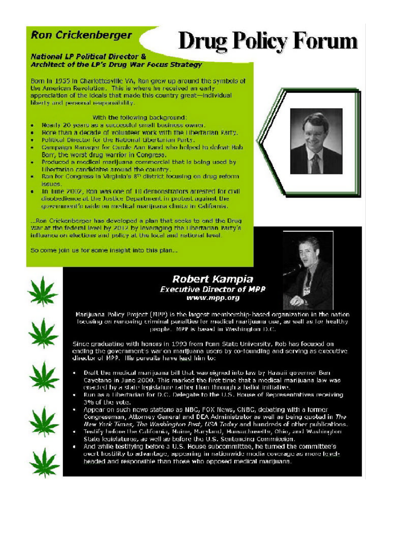### **Ron Crickenberger**

# **Drug Policy Forum**

#### **National LP Political Director &** Architect of the LP's Drug War Focus Strategy

Born In 1955 in Charlottesville VA, Ron grew up around the symbols of the American Revolution. This is where he received an early appreclation of the ideals that made this country great-individual liberty and personal responsibility.

#### With the following background:

- Nearly 20 years as a successful small business owner. ٠
- Nore than a decade of volunteer work with the Ubertarian Party. ä
- Political Director for the National Libertarian Party. ٠
- Campaign Manager for Carole Ann Rand who helped to defeat Bob ٠ Barr, the worst drug warrior in Congress.
- Produced a medical marijuana commercial that is being used by ٠ Libertarian candidates around the country.
- Ran for Congress in Virginia's 8<sup>th</sup> district focusing on drug reform ٠ issues.
- In Tune 2002, Ron was one of TII demonstrators arrested for civil ċ disobedience at the Justice Department in probest against the government's raids on medical manijuana clinics in California.

...Ron Crickenberger has developed a plan that seeks to end the Drug War at the federal level by 2012 by leveraging the Hibertarian Party's influence on elections and policy at the local and national level.

So come join us for some insight into this plan...







Marijuana Policy Project (MPP) is the largest membership-based organization in the nation focusing on removing criminal penalties for medical marijuana use, as well as for healthy people. MPP is based in Washington D.C.

**Robert Kampia** 

www.mpp.org

Since graduating with honors in 1993 from Penn State University, Rob has focused on ending the government's war on marijuana users by co-founding and serving as executive director of MPP. This pursuits have lead him to:

- Draft the medical manijuana bill that was signed into law by Hawaii governor Ben-Cayotano in June 2000. This marked the first time that a medical marijuana law was enacted by a state legislature rather than through a hallot initiative.
- Run as a Libertarian for D.C. Delegate to the U.S. House of Representatives receiving 3% of the vote.
- Appear on such news stations as NBC, FOX News, CNBC, debating with a former congressman, Attorney General and DEA Administrator as well as being quoted in The New York Times, The Washington Post, USA Today and hundreds of other publications.
- Testify before the California, Maine, Maryland, Massachusetts, Ohio, and Washington State legislatures, as well as before the U.S. Sentencing Commission.
- And while testifying before a U.S. House subcommittee, he turned the committee's overt hostility to advantage, appearing in nationwide media coverage as more levelheaded and responsible than those who opposed medical marijuana.







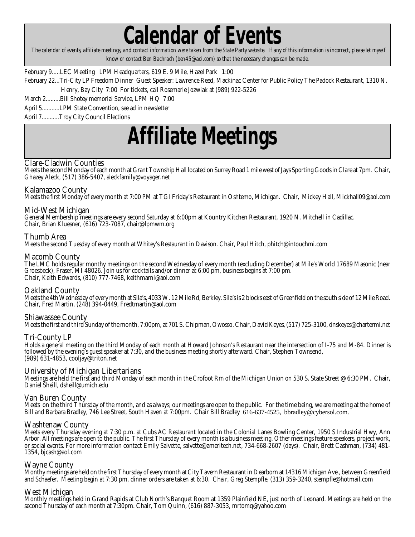lendar of Events

 *The calendar of events, affiliate meetings, and contact information were taken from the State Party website. If any of this information is incorrect, please let myself know or contact Ben Bachrach (ben45@aol.com) so that the necessary changes can be made.*

February 9.....LEC Meeting LPM Headquarters, 619 E. 9 Mile, Hazel Park 1:00

February 22...Tri-City LP Freedom Dinner Guest Speaker: Lawrence Reed, Mackinac Center for Public Policy The Padock Restaurant, 1310 N. Henry, Bay City 7:00 For tickets, call Rosemarie Jozwiak at (989) 922-5226

March 2.........Bill Shotey memorial Service, LPM HQ 7:00

April 5...........LPM State Convention, see ad in newsletter

April 7...........Troy City Council Elections

## **Affiliate Meetings**

#### **Clare-Cladwin Counties**

Meets the second Monday of each month at Grant Township Hall located on Surrey Road 1 mile west of Jays Sporting Goods in Clare at 7pm. Chair, Ghazey Aleck, (517) 386-5407, aleckfamily@voyager.net

#### **Kalamazoo County**

Meets the first Monday of every month at 7:00 PM at TGI Friday's Restaurant in Oshtemo, Michigan. Chair, Mickey Hall, Mickhall09@aol.com

#### **Mid-West Michigan**

General Membership meetings are every second Saturday at 6:00pm at Kountry Kitchen Restaurant, 1920 N. Mitchell in Cadillac. Chair, Brian Kluesner, (616) 723-7087, chair@lpmwm.org

#### **Thumb Area**

Meets the second Tuesday of every month at Whitey's Restaurant in Davison. Chair, Paul Hitch, phitch@intouchmi.com

#### **Macomb County**

The LMC holds regular monthy meetings on the second Wednesday of every month (excluding December) at Mile's World 17689 Masonic (near Groesbeck), Fraser, MI 48026. Join us for cocktails and/or dinner at 6:00 pm, business begins at 7:00 pm. Chair, Keith Edwards, (810) 777-7468, keithmarni@aol.com

#### **Oakland County**

Meets the 4th Wednesday of every month at Sila's, 4033 W. 12 Mile Rd, Berkley. Sila's is 2 blocks east of Greenfield on the south side of 12 Mile Road. Chair, Fred Martin, (248) 394-0449, Fredtmartin@aol.com

#### **Shiawassee County**

Meets the first and third Sunday of the month, 7:00pm, at 701 S. Chipman, Owosso. Chair, David Keyes, (517) 725-3100, dnskeyes@chartermi.net

#### **Tri-County LP**

Holds a general meeting on the third Monday of each month at Howard Johnson's Restaurant near the intersection of I-75 and M-84. Dinner is followed by the evening's guest speaker at 7:30, and the business meeting shortly afterward. Chair, Stephen Townsend, (989) 631-4853, cooljay@triton.net

#### **University of Michigan Libertarians**

Meetings are held the first and third Monday of each month in the Crofoot Rm of the Michigan Union on 530 S. State Street @ 6:30 PM. Chair, Daniel Sheill, dsheill@umich.edu

#### **Van Buren County**

Meets on the third Thursday of the month, and as always; our meetings are open to the public. For the time being, we are meeting at the home of Bill and Barbara Bradley, 746 Lee Street, South Haven at 7:00pm. Chair Bill Bradley 616-637-4525, bbradley@cybersol.com.

#### **Washtenaw County**

Meets every Thursday evening at 7:30 p.m. at Cubs AC Restaurant located in the Colonial Lanes Bowling Center, 1950 S Industrial Hwy, Ann Arbor. All meetings are open to the public. The first Thursday of every month is a business meeting. Other meetings feature speakers, project work, or social events. For more information contact Emily Salvette, salvette@ameritech.net, 734-668-2607 (days). Chair, Brett Cashman, (734) 481- 1354, bjcash@aol.com

#### **Wayne County**

Monthy meetings are held on the first Thursday of every month at City Tavern Restaurant in Dearborn at 14316 Michigan Ave., between Greenfield and Schaefer. Meeting begin at 7:30 pm, dinner orders are taken at 6:30. Chair, Greg Stempfle, (313) 359-3240, stempfle@hotmail.com

#### **West Michigan**

Monthly meetings held in Grand Rapids at Club North's Banquet Room at 1359 Plainfield NE, just north of Leonard. Meetings are held on the second Thursday of each month at 7:30pm. Chair, Tom Quinn, (616) 887-3053, mrtomq@yahoo.com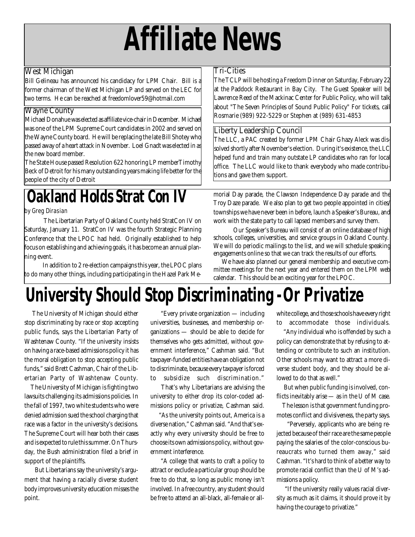# **Affiliate News**

#### **West Michigan**

**Bill Gelineau** has announced his candidacy for LPM Chair. Bill is a former chairman of the West Michigan LP and served on the LEC for two terms. He can be reached at freedomlover59@hotmail.com

#### **Wayne County**

**Michael Donahue** was elected as affiliate vice-chair in December. Michael was one of the LPM Supreme Court candidates in 2002 and served on the Wayne County board. He will be replacing the late Bill Shotey who passed away of a heart attack in November. **Loel Gnadt** was elected in as the new board member.

The State House passed Resolution 622 honoring LP memberTimothy Beck of Detroit for his many outstanding years making life better for the people of the city of Detroit

## **Oakland Holds Strat Con IV**

#### by Greg Dirasian

 The Libertarian Party of Oakland County held StratCon IV on Saturday, January 11. StratCon IV was the fourth Strategic Planning Conference that the LPOC had held. Originally established to help focus on establishing and achieving goals, it has become an annual planning event.

 In addition to 2 re-election campaigns this year, the LPOC plans to do many other things, including participating in the Hazel Park Me-

#### **Tri-Cities**

The TCLP will be hosting a Freedom Dinner on Saturday, February 22 at the Paddock Restaurant in Bay City. The Guest Speaker will be Lawrence Reed of the Mackinac Center for Public Policy, who will talk about "The Seven Principles of Sound Public Policy" For tickets, call Rosmarie (989) 922-5229 or Stephen at (989) 631-4853

#### **Liberty Leadership Council**

The LLC, a PAC created by former LPM Chair Ghazy Aleck was dissolved shortly after November's election. During it's existence, the LLC helped fund and train many outstate LP candidates who ran for local office. The LLC would like to thank everybody who made contributions and gave them support.

morial Day parade, the Clawson Independence Day parade and the Troy Daze parade. We also plan to get two people appointed in cities/ townships we have never been in before, launch a Speaker's Bureau, and work with the state party to call lapsed members and survey them.

 Our Speaker's Bureau will consist of an online database of high schools, colleges, universities, and service groups in Oakland County. We will do periodic mailings to the list, and we will schedule speaking engagements online so that we can track the results of our efforts.

 We have also planned our general membership and executive committee meetings for the next year and entered them on the LPM web calendar. This should be an exciting year for the LPOC.

## **University Should Stop Discriminating -Or Privatize**

 The University of Michigan should either stop discriminating by race or stop accepting public funds, says the Libertarian Party of Washtenaw County. "If the university insists on having a race-based admissions policy it has the moral obligation to stop accepting public funds," said Brett Cashman, Chair of the Libertarian Party of Washtenaw County.

 The University of Michigan is fighting two lawsuits challenging its admissions policies. In the fall of 1997, two white students who were denied admission sued the school charging that race was a factor in the university's decisions. The Supreme Court will hear both their cases and is expected to rule this summer. On Thursday, the Bush administration filed a brief in support of the plaintiffs.

 But Libertarians say the university's argument that having a racially diverse student body improves university education misses the point.

 "Every private organization — including universities, businesses, and membership organizations — should be able to decide for themselves who gets admitted, without government interference," Cashman said. "But taxpayer-funded entities have an obligation not to discriminate, because every taxpayer is forced to subsidize such discrimination."

 That's why Libertarians are advising the university to either drop its color-coded admissions policy or privatize, Cashman said.

 "As the university points out, America is a diverse nation," Cashman said. "And that's exactly why every university should be free to choose its own admissions policy, without government interference.

 "A college that wants to craft a policy to attract or exclude a particular group should be free to do that, so long as public money isn't involved. In a free country, any student should be free to attend an all-black, all-female or allwhite college, and those schools have every right to accommodate those individuals.

 "Any individual who is offended by such a policy can demonstrate that by refusing to attending or contribute to such an institution. Other schools may want to attract a more diverse student body, and they should be allowed to do that as well."

 But when public funding is involved, conflicts inevitably arise — as in the U of M case.

 The lesson is that government funding promotes conflict and divisiveness, the party says.

 "Perversely, applicants who are being rejected because of their race are the same people paying the salaries of the color-conscious bureaucrats who turned them away," said Cashman. "It's hard to think of a better way to promote racial conflict than the U of M's admissions a policy.

 "If the university really values racial diversity as much as it claims, it should prove it by having the courage to privatize."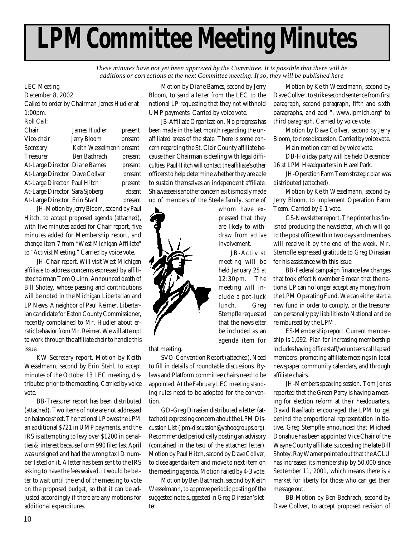# **LPM Committee Meeting Minutes**

*These minutes have not yet been approved by the Committee. It is possible that there will be additions or corrections at the next Committee meeting. If so, they will be published here*

#### LEC Meeting

**December 8, 2002** Called to order by Chairman James Hudler at 1:00pm. Roll Call:

| Chair                          | James Hudler             | present |
|--------------------------------|--------------------------|---------|
| Vice-chair                     | <b>Jerry Bloom</b>       | present |
| Secretary                      | Keith Wesselmann present |         |
| <b>Treasurer</b>               | Ben Bachrach             | present |
| At-Large Director Diane Barnes |                          | present |
| At-Large Director Dave Collver |                          | present |
| At-Large Director Paul Hitch   |                          | present |
| At-Large Director Sara Sjoberg |                          | absent  |
| At-Large Director Erin Stahl   |                          | present |
|                                |                          |         |

JH-Motion by Jerry Bloom, second by Paul Hitch, to accept proposed agenda (attached), with five minutes added for Chair report, five minutes added for Membership report, and change Item 7 from "West Michigan Affiliate" to "Activist Meeting." Carried by voice vote.

JH-Chair report. Will visit West Michigan affiliate to address concerns expressed by affiliate chairman Tom Quinn. Announced death of Bill Shotey, whose passing and contributions will be noted in the Michigan Libertarian and LP News. A neighbor of Paul Reimer, Libertarian candidate for Eaton County Commissioner, recently complained to Mr. Hudler about erratic behavior from Mr. Reimer. We will attempt to work through the affiliate chair to handle this issue.

KW-Secretary report. Motion by Keith Wesselmann, second by Erin Stahl, to accept minutes of the October 13 LEC meeting, distributed prior to the meeeting. Carried by voice vote.

BB-Treasurer report has been distributed (attached). Two items of note are not addressed on balance sheet. The national LP owes the LPM an additional \$721 in UMP payments, and the IRS is attempting to levy over \$1200 in penalties & interest because Form 990 filed last April was unsigned and had the wrong tax ID number listed on it. A letter has been sent to the IRS asking to have the fees waived. It would be better to wait until the end of the meeting to vote on the proposed budget, so that it can be adjusted accordingly if there are any motions for additional expenditures.

Motion by Diane Barnes, second by Jerry Bloom, to send a letter from the LEC to the national LP requesting that they not withhold UMP payments. Carried by voice vote.

JB-Affiliate Organization. No progress has been made in the last month regarding the unaffiliated areas of the state. There is some concern regarding the St. Clair County affiliate because their Chairman is dealing with legal difficulties. Paul Hitch will contact the affiliate's other officers to help determine whether they are able to sustain themselves an independent affiliate. Shiawassee is another concern as it is mostly made up of members of the Steele family, some of

> whom have expressed that they are likely to withdraw from active involvement.

JB-Activist meeting will be held January 25 at 12:30pm. The meeting will include a pot-luck lunch. Greg Stempfle requested that the newsletter be included as an agenda item for

that meeting.

SVO-Convention Report (attached). Need to fill in details of roundtable discussions. Bylaws and Platform committee chairs need to be appointed. At the February LEC meeting standing rules need to be adopted for the convention.

GD-Greg Dirasian distributed a letter (attached) expressing concern about the LPM Discussion List (lpm-discussion@yahoogroups.org). Recommended periodically posting an advisory (contained in the text of the attached letter). Motion by Paul Hitch, second by Dave Collver, to close agenda item and move to next item on the meeting agenda. Motion failed by 4-3 vote.

Motion by Ben Bachrach, second by Keith Wesselmann, to approve periodic posting of the suggested note suggested in Greg Dirasian's letter.

Motion by Keith Wesselmann, second by Dave Collver, to strike second sentence from first paragraph, second paragraph, fifth and sixth paragraphs, and add ", www.lpmich.org" to third paragraph. Carried by voice vote.

Motion by Dave Collver, second by Jerry Bloom, to close discussion. Carried by voice vote.

Main motion carried by voice vote.

DB-Holiday party will be held December 16 at LPM Headquarters in Hazel Park.

JH-Operation Farm Team strategic plan was distributed (attached).

Motion by Keith Wesselmann, second by Jerry Bloom, to implement Operation Farm Team. Carried by 6-1 vote.

GS-Newsletter report. The printer has finished producing the newsletter, which will go to the post office within two days and members will receive it by the end of the week. Mr. Stempfle expressed gratitude to Greg Dirasian for his assistance with this issue.

BB-Federal campaign finance law changes that took effect November 6 mean that the national LP can no longer accept any money from the LPM Operating Fund. We can either start a new fund in order to comply, or the treasurer can personally pay liabilities to National and be reimbursed by the LPM.

ES-Membership report. Current membership is 1,092. Plan for increasing membership includes having office staff/volunteers call lapsed members, promoting affiliate meetings in local newspaper community calendars, and through affiliate chairs.

JH-Members speaking session. Tom Jones reported that the Green Party is having a meeting for election reform at their headquarters. David Raaflaub encouraged the LPM to get behind the proportional representation initiative. Greg Stempfle announced that Michael Donahue has been appointed Vice Chair of the Wayne County affiliate, succeeding the late Bill Shotey. Ray Warner pointed out that the ACLU has increased its membership by 50,000 since September 11, 2001, which means there is a market for liberty for those who can get their message out.

BB-Motion by Ben Bachrach, second by Dave Collver, to accept proposed revision of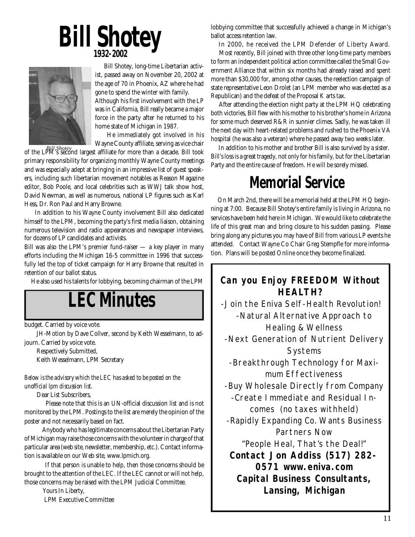## **Bill Shotey 1932-2002**



 Bill Shotey, long-time Libertarian activist, passed away on November 20, 2002 at the age of 70 in Phoenix, AZ where he had gone to spend the winter with family.

Although his first involvement with the LP was in California, Bill really became a major force in the party after he returned to his home state of Michigan in 1987.

 He immediately got involved in his Wayne County affiliate, serving as vice chair

of the LPM's second largest affiliate for more than a decade. Bill took *Bill Shotey* primary responsibility for organizing monthly Wayne County meetings and was especially adept at bringing in an impressive list of guest speakers, including such libertarian movement notables as Reason Magazine editor, Bob Poole, and local celebrities such as WWJ talk show host, David Newman, as well as numerous, national LP figures such as Karl Hess, Dr. Ron Paul and Harry Browne.

 In addition to his Wayne County involvement Bill also dedicated himself to the LPM, becoming the party's first media liaison, obtaining numerous television and radio appearances and newspaper interviews, for dozens of LP candidates and activists.

Bill was also the LPM's premier fund-raiser — a key player in many efforts including the Michigan 16-5 committee in 1996 that successfully led the top of ticket campaign for Harry Browne that resulted in retention of our ballot status.

He also used his talents for lobbying, becoming chairman of the LPM

## **LEC Minutes**

budget. Carried by voice vote.

JH-Motion by Dave Collver, second by Keith Wesselmann, to adjourn. Carried by voice vote.

Respectively Submitted, Keith Wesselmann, LPM Secretary

*Below is the advisory which the LEC has asked to be posted on the unofficial lpm discussion list.*

Dear List Subscribers,

 Please note that this is an UN-official discussion list and is not monitored by the LPM. Postings to the list are merely the opinion of the poster and not necessarily based on fact.

 Anybody who has legitimate concerns about the Libertarian Party of Michigan may raise those concerns with the volunteer in charge of that particular **a**rea (web site, newsletter, membership, etc.). Contact information is available on our Web site, www.lpmich.org.

 If that person is unable to help, then those concerns should be brought to the attention of the LEC. If the LEC cannot or will not help, those concerns may be raised with the LPM Judicial Committee.

> Yours In Liberty, LPM Executive Committee

lobbying committee that successfully achieved a change in Michigan's ballot access retention law.

 In 2000, he received the LPM Defender of Liberty Award. Most recently, Bill joined with three other long-time party members to form an independent political action committee called the Small Government Alliance that within six months had already raised and spent more than \$30,000 for, among other causes, the reelection campaign of state representative Leon Drolet (an LPM member who was elected as a Republican) and the defeat of the Proposal K arts tax.

 After attending the election night party at the LPM HQ celebrating both victories, Bill flew with his mother to his brother's home in Arizona for some much deserved R&R in sunnier climes. Sadly, he was taken ill the next day with heart-related problems and rushed to the Phoenix VA hospital (he was also a veteran) where he passed away two weeks later.

 In addition to his mother and brother Bill is also survived by a sister. Bill's loss is a great tragedy, not only for his family, but for the Libertarian Party and the entire cause of freedom. He will be sorely missed.

### **Memorial Service**

 On March 2nd, there will be a memorial held at the LPM HQ beginning at 7:00. Because Bill Shotey's entire family is living in Arizona, no services have been held here in Michigan. We would like to celebrate the life of this great man and bring closure to his sudden passing. Please bring along any pictures you may have of Bill from various LP events he attended. Contact Wayne Co Chair Greg Stempfle for more information. Plans will be posted Online once they become finalized.

#### **Can you Enjoy** *FREEDOM* **Without** *HEALTH?*

-Join the Eniva Self-Health Revolution! -Natural Alternative Approach to Healing & Wellness -Next Generation of Nutrient Delivery Systems -Breakthrough Technology for *Maximum Effectiveness* -Buy Wholesale Directly from Company -Create Immediate and Residual Incomes (no taxes withheld) -Rapidly Expanding Co. Wants Business Partners Now "People Heal, That's the Deal!" **Contact Jon Addiss (517) 282- 0571 www.eniva.com Capital Business Consultants, Lansing, Michigan**